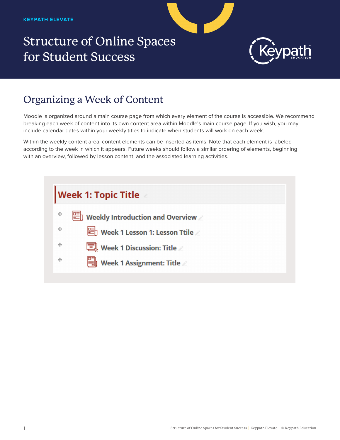## Structure of Online Spaces for Student Success



## Organizing a Week of Content

Moodle is organized around a main course page from which every element of the course is accessible. We recommend breaking each week of content into its own content area within Moodle's main course page. If you wish, you may include calendar dates within your weekly titles to indicate when students will work on each week.

Within the weekly content area, content elements can be inserted as items. Note that each element is labeled according to the week in which it appears. Future weeks should follow a similar ordering of elements, beginning with an overview, followed by lesson content, and the associated learning activities.

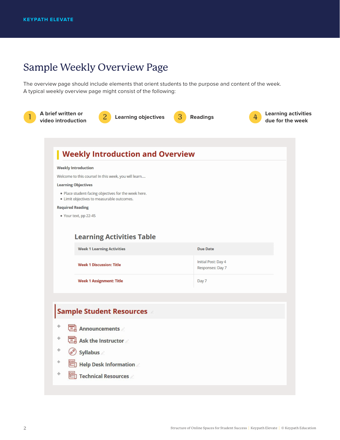## Sample Weekly Overview Page

The overview page should include elements that orient students to the purpose and content of the week. A typical weekly overview page might consist of the following: